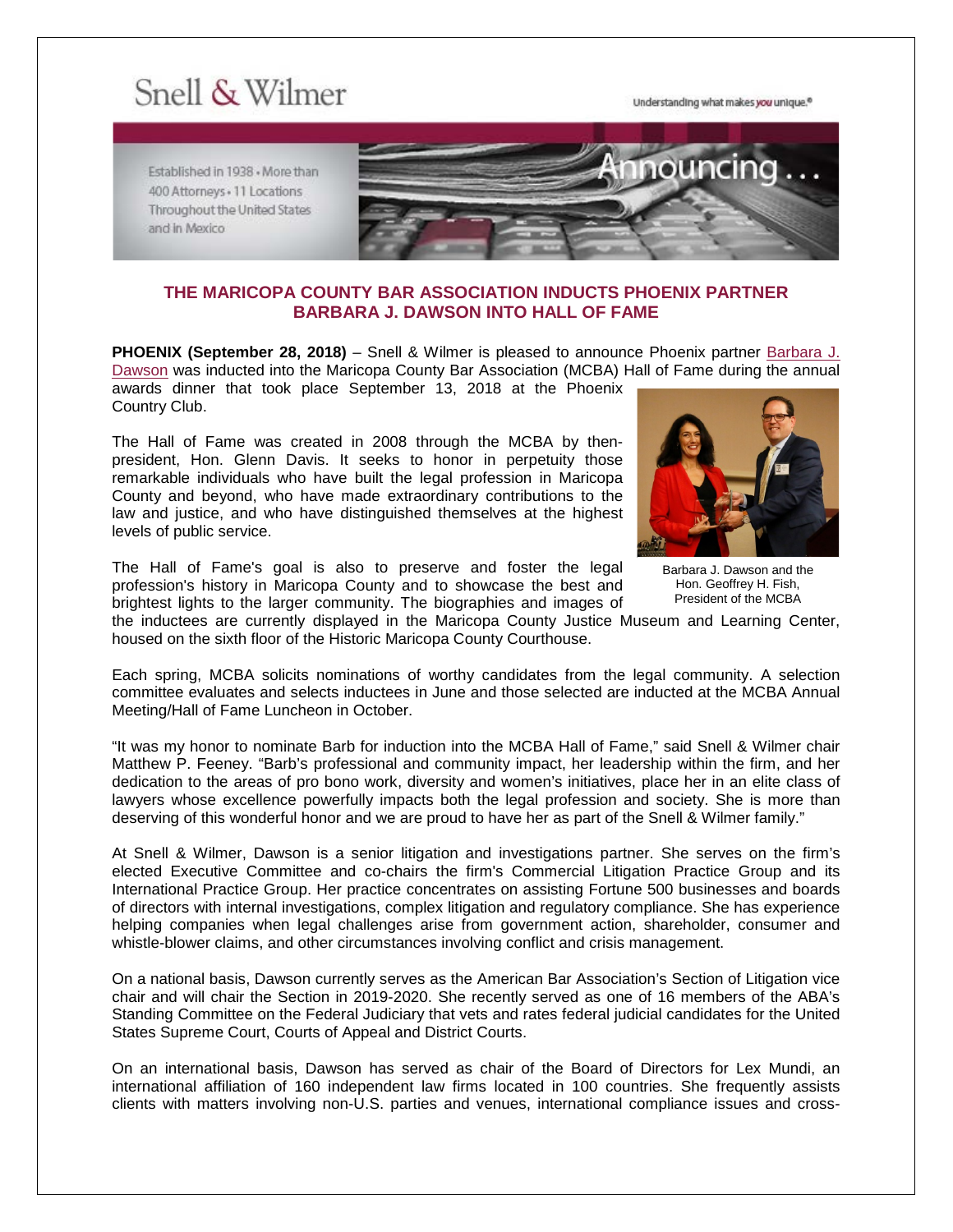## Snell & Wilmer

Understanding what makes you unique.<sup>®</sup>

Established in 1938 - More than 400 Attorneys + 11 Locations Throughout the United States and in Mexico



## **THE MARICOPA COUNTY BAR ASSOCIATION INDUCTS PHOENIX PARTNER BARBARA J. DAWSON INTO HALL OF FAME**

**PHOENIX (September 28, 2018)** – Snell & Wilmer is pleased to announce Phoenix partner [Barbara J.](https://www.swlaw.com/people/barbara_dawson)  [Dawson](https://www.swlaw.com/people/barbara_dawson) was inducted into the Maricopa County Bar Association (MCBA) Hall of Fame during the annual awards dinner that took place September 13, 2018 at the Phoenix Country Club.

The Hall of Fame was created in 2008 through the MCBA by thenpresident, Hon. Glenn Davis. It seeks to honor in perpetuity those remarkable individuals who have built the legal profession in Maricopa County and beyond, who have made extraordinary contributions to the law and justice, and who have distinguished themselves at the highest levels of public service.

The Hall of Fame's goal is also to preserve and foster the legal profession's history in Maricopa County and to showcase the best and brightest lights to the larger community. The biographies and images of



Barbara J. Dawson and the Hon. Geoffrey H. Fish, President of the MCBA

the inductees are currently displayed in the Maricopa County Justice Museum and Learning Center, housed on the sixth floor of the Historic Maricopa County Courthouse.

Each spring, MCBA solicits nominations of worthy candidates from the legal community. A selection committee evaluates and selects inductees in June and those selected are inducted at the MCBA Annual Meeting/Hall of Fame Luncheon in October.

"It was my honor to nominate Barb for induction into the MCBA Hall of Fame," said Snell & Wilmer chair Matthew P. Feeney. "Barb's professional and community impact, her leadership within the firm, and her dedication to the areas of pro bono work, diversity and women's initiatives, place her in an elite class of lawyers whose excellence powerfully impacts both the legal profession and society. She is more than deserving of this wonderful honor and we are proud to have her as part of the Snell & Wilmer family."

At Snell & Wilmer, Dawson is a senior litigation and investigations partner. She serves on the firm's elected Executive Committee and co-chairs the firm's Commercial Litigation Practice Group and its International Practice Group. Her practice concentrates on assisting Fortune 500 businesses and boards of directors with internal investigations, complex litigation and regulatory compliance. She has experience helping companies when legal challenges arise from government action, shareholder, consumer and whistle-blower claims, and other circumstances involving conflict and crisis management.

On a national basis, Dawson currently serves as the American Bar Association's Section of Litigation vice chair and will chair the Section in 2019-2020. She recently served as one of 16 members of the ABA's Standing Committee on the Federal Judiciary that vets and rates federal judicial candidates for the United States Supreme Court, Courts of Appeal and District Courts.

On an international basis, Dawson has served as chair of the Board of Directors for Lex Mundi, an international affiliation of 160 independent law firms located in 100 countries. She frequently assists clients with matters involving non-U.S. parties and venues, international compliance issues and cross